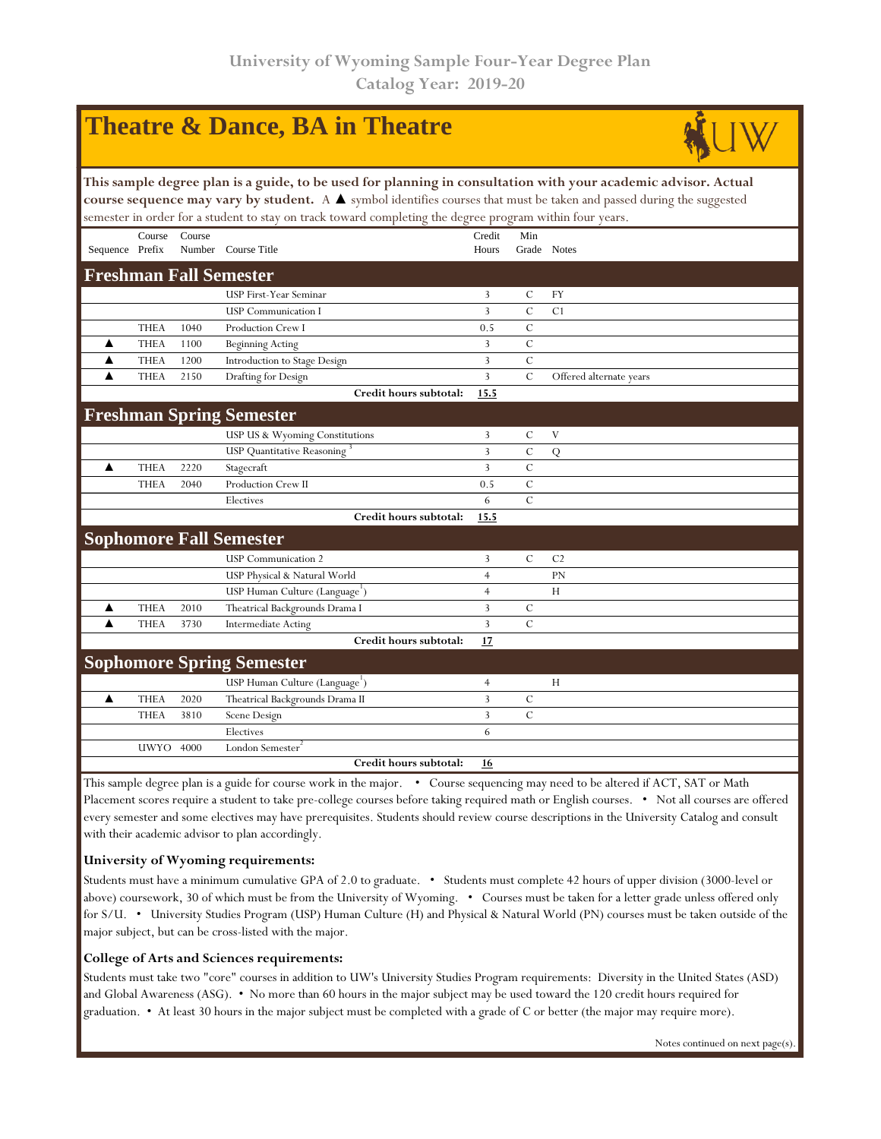|                                                                                                                                                                                                                                                                                                                                                                    |             |        | <b>Theatre &amp; Dance, BA in Theatre</b>  |                 |                    |                         |  |  |  |  |  |  |
|--------------------------------------------------------------------------------------------------------------------------------------------------------------------------------------------------------------------------------------------------------------------------------------------------------------------------------------------------------------------|-------------|--------|--------------------------------------------|-----------------|--------------------|-------------------------|--|--|--|--|--|--|
| This sample degree plan is a guide, to be used for planning in consultation with your academic advisor. Actual<br>course sequence may vary by student. A $\blacktriangle$ symbol identifies courses that must be taken and passed during the suggested<br>semester in order for a student to stay on track toward completing the degree program within four years. |             |        |                                            |                 |                    |                         |  |  |  |  |  |  |
| Sequence Prefix                                                                                                                                                                                                                                                                                                                                                    | Course      | Course | Number Course Title                        | Credit<br>Hours | Min<br>Grade Notes |                         |  |  |  |  |  |  |
| <b>Freshman Fall Semester</b>                                                                                                                                                                                                                                                                                                                                      |             |        |                                            |                 |                    |                         |  |  |  |  |  |  |
|                                                                                                                                                                                                                                                                                                                                                                    |             |        | <b>USP First-Year Seminar</b>              | 3               | $\mathcal{C}$      | <b>FY</b>               |  |  |  |  |  |  |
|                                                                                                                                                                                                                                                                                                                                                                    |             |        | <b>USP</b> Communication I                 | $\overline{3}$  | $\mathcal{C}$      | C <sub>1</sub>          |  |  |  |  |  |  |
|                                                                                                                                                                                                                                                                                                                                                                    | <b>THEA</b> | 1040   | Production Crew I                          | 0.5             | $\cal C$           |                         |  |  |  |  |  |  |
| ▲                                                                                                                                                                                                                                                                                                                                                                  | <b>THEA</b> | 1100   | <b>Beginning Acting</b>                    | $\overline{3}$  | $\mathbf C$        |                         |  |  |  |  |  |  |
| ▲                                                                                                                                                                                                                                                                                                                                                                  | <b>THEA</b> | 1200   | Introduction to Stage Design               | 3               | $\mathcal{C}$      |                         |  |  |  |  |  |  |
| ▲                                                                                                                                                                                                                                                                                                                                                                  | <b>THEA</b> | 2150   | Drafting for Design                        | $\overline{3}$  | $\mathbf C$        | Offered alternate years |  |  |  |  |  |  |
|                                                                                                                                                                                                                                                                                                                                                                    |             |        | Credit hours subtotal:                     | 15.5            |                    |                         |  |  |  |  |  |  |
|                                                                                                                                                                                                                                                                                                                                                                    |             |        | <b>Freshman Spring Semester</b>            |                 |                    |                         |  |  |  |  |  |  |
|                                                                                                                                                                                                                                                                                                                                                                    |             |        | USP US & Wyoming Constitutions             | 3               | C                  | V                       |  |  |  |  |  |  |
|                                                                                                                                                                                                                                                                                                                                                                    |             |        | <b>USP Quantitative Reasoning</b>          | $\overline{3}$  | $\cal C$           | Q                       |  |  |  |  |  |  |
| ▲                                                                                                                                                                                                                                                                                                                                                                  | <b>THEA</b> | 2220   | Stagecraft                                 | $\overline{3}$  | $\mathcal{C}$      |                         |  |  |  |  |  |  |
|                                                                                                                                                                                                                                                                                                                                                                    | <b>THEA</b> | 2040   | Production Crew II                         | 0.5             | $\mathcal{C}$      |                         |  |  |  |  |  |  |
|                                                                                                                                                                                                                                                                                                                                                                    |             |        | Electives                                  | 6               | $\mathcal{C}$      |                         |  |  |  |  |  |  |
|                                                                                                                                                                                                                                                                                                                                                                    |             |        | Credit hours subtotal:                     | 15.5            |                    |                         |  |  |  |  |  |  |
|                                                                                                                                                                                                                                                                                                                                                                    |             |        | <b>Sophomore Fall Semester</b>             |                 |                    |                         |  |  |  |  |  |  |
|                                                                                                                                                                                                                                                                                                                                                                    |             |        | <b>USP</b> Communication 2                 | 3               | $\mathcal{C}$      | C <sub>2</sub>          |  |  |  |  |  |  |
|                                                                                                                                                                                                                                                                                                                                                                    |             |        | USP Physical & Natural World               | $\overline{4}$  |                    | PN                      |  |  |  |  |  |  |
|                                                                                                                                                                                                                                                                                                                                                                    |             |        | USP Human Culture (Language <sup>1</sup> ) | $\overline{4}$  |                    | H                       |  |  |  |  |  |  |
| ▲                                                                                                                                                                                                                                                                                                                                                                  | <b>THEA</b> | 2010   | Theatrical Backgrounds Drama I             | $\overline{3}$  | $\mathcal{C}$      |                         |  |  |  |  |  |  |
| ▲                                                                                                                                                                                                                                                                                                                                                                  | <b>THEA</b> | 3730   | <b>Intermediate Acting</b>                 | $\overline{3}$  | $\mathcal{C}$      |                         |  |  |  |  |  |  |
|                                                                                                                                                                                                                                                                                                                                                                    |             |        | Credit hours subtotal:                     | 17              |                    |                         |  |  |  |  |  |  |
|                                                                                                                                                                                                                                                                                                                                                                    |             |        | <b>Sophomore Spring Semester</b>           |                 |                    |                         |  |  |  |  |  |  |
|                                                                                                                                                                                                                                                                                                                                                                    |             |        | USP Human Culture (Language <sup>1</sup> ) | $\overline{4}$  |                    | H                       |  |  |  |  |  |  |
| ▲                                                                                                                                                                                                                                                                                                                                                                  | <b>THEA</b> | 2020   | Theatrical Backgrounds Drama II            | $\overline{3}$  | $\mathcal{C}$      |                         |  |  |  |  |  |  |
|                                                                                                                                                                                                                                                                                                                                                                    | <b>THEA</b> | 3810   | Scene Design                               | 3               | $\mathcal{C}$      |                         |  |  |  |  |  |  |
|                                                                                                                                                                                                                                                                                                                                                                    |             |        | Electives                                  | 6               |                    |                         |  |  |  |  |  |  |
|                                                                                                                                                                                                                                                                                                                                                                    | UWYO        | 4000   | London Semester                            |                 |                    |                         |  |  |  |  |  |  |
|                                                                                                                                                                                                                                                                                                                                                                    |             |        | Credit hours subtotal:                     | 16              |                    |                         |  |  |  |  |  |  |

This sample degree plan is a guide for course work in the major. • Course sequencing may need to be altered if ACT, SAT or Math Placement scores require a student to take pre-college courses before taking required math or English courses. • Not all courses are offered every semester and some electives may have prerequisites. Students should review course descriptions in the University Catalog and consult with their academic advisor to plan accordingly.

## **University of Wyoming requirements:**

Students must have a minimum cumulative GPA of 2.0 to graduate. • Students must complete 42 hours of upper division (3000-level or above) coursework, 30 of which must be from the University of Wyoming. • Courses must be taken for a letter grade unless offered only for S/U. • University Studies Program (USP) Human Culture (H) and Physical & Natural World (PN) courses must be taken outside of the major subject, but can be cross-listed with the major.

## **College of Arts and Sciences requirements:**

Students must take two "core" courses in addition to UW's University Studies Program requirements: Diversity in the United States (ASD) and Global Awareness (ASG). • No more than 60 hours in the major subject may be used toward the 120 credit hours required for graduation. • At least 30 hours in the major subject must be completed with a grade of C or better (the major may require more).